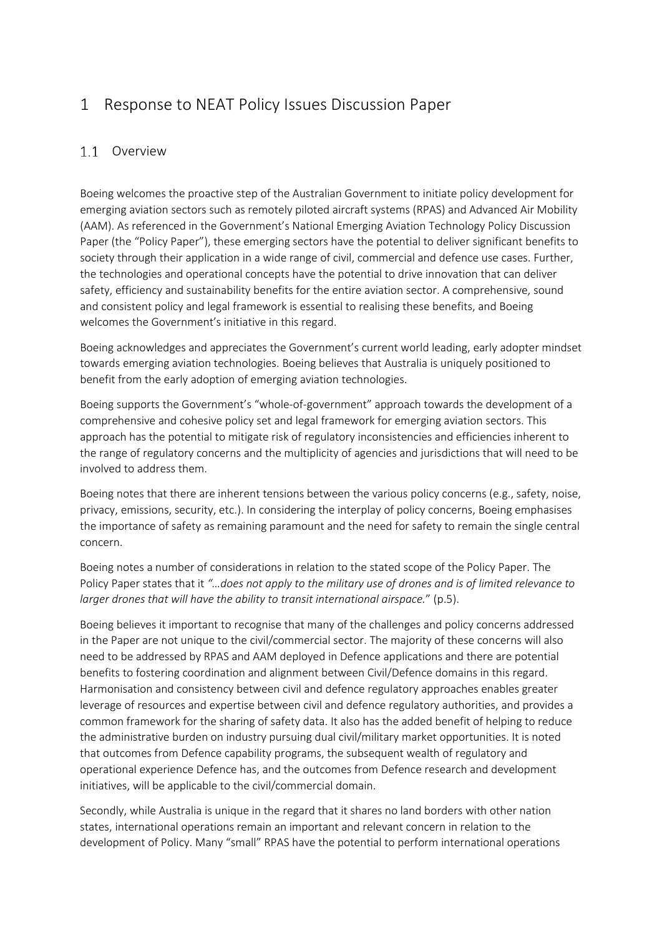# 1 Response to NEAT Policy Issues Discussion Paper

### 1.1 Overview

Boeing welcomes the proactive step of the Australian Government to initiate policy development for emerging aviation sectors such as remotely piloted aircraft systems (RPAS) and Advanced Air Mobility (AAM). As referenced in the Government's National Emerging Aviation Technology Policy Discussion Paper (the "Policy Paper"), these emerging sectors have the potential to deliver significant benefits to society through their application in a wide range of civil, commercial and defence use cases. Further, the technologies and operational concepts have the potential to drive innovation that can deliver safety, efficiency and sustainability benefits for the entire aviation sector. A comprehensive, sound and consistent policy and legal framework is essential to realising these benefits, and Boeing welcomes the Government's initiative in this regard.

Boeing acknowledges and appreciates the Government's current world leading, early adopter mindset towards emerging aviation technologies. Boeing believes that Australia is uniquely positioned to benefit from the early adoption of emerging aviation technologies.

Boeing supports the Government's "whole-of-government" approach towards the development of a comprehensive and cohesive policy set and legal framework for emerging aviation sectors. This approach has the potential to mitigate risk of regulatory inconsistencies and efficiencies inherent to the range of regulatory concerns and the multiplicity of agencies and jurisdictions that will need to be involved to address them.

Boeing notes that there are inherent tensions between the various policy concerns (e.g., safety, noise, privacy, emissions, security, etc.). In considering the interplay of policy concerns, Boeing emphasises the importance of safety as remaining paramount and the need for safety to remain the single central concern.

Boeing notes a number of considerations in relation to the stated scope of the Policy Paper. The Policy Paper states that it *"…does not apply to the military use of drones and is of limited relevance to larger drones that will have the ability to transit international airspace.*" (p.5).

Boeing believes it important to recognise that many of the challenges and policy concerns addressed in the Paper are not unique to the civil/commercial sector. The majority of these concerns will also need to be addressed by RPAS and AAM deployed in Defence applications and there are potential benefits to fostering coordination and alignment between Civil/Defence domains in this regard. Harmonisation and consistency between civil and defence regulatory approaches enables greater leverage of resources and expertise between civil and defence regulatory authorities, and provides a common framework for the sharing of safety data. It also has the added benefit of helping to reduce the administrative burden on industry pursuing dual civil/military market opportunities. It is noted that outcomes from Defence capability programs, the subsequent wealth of regulatory and operational experience Defence has, and the outcomes from Defence research and development initiatives, will be applicable to the civil/commercial domain.

Secondly, while Australia is unique in the regard that it shares no land borders with other nation states, international operations remain an important and relevant concern in relation to the development of Policy. Many "small" RPAS have the potential to perform international operations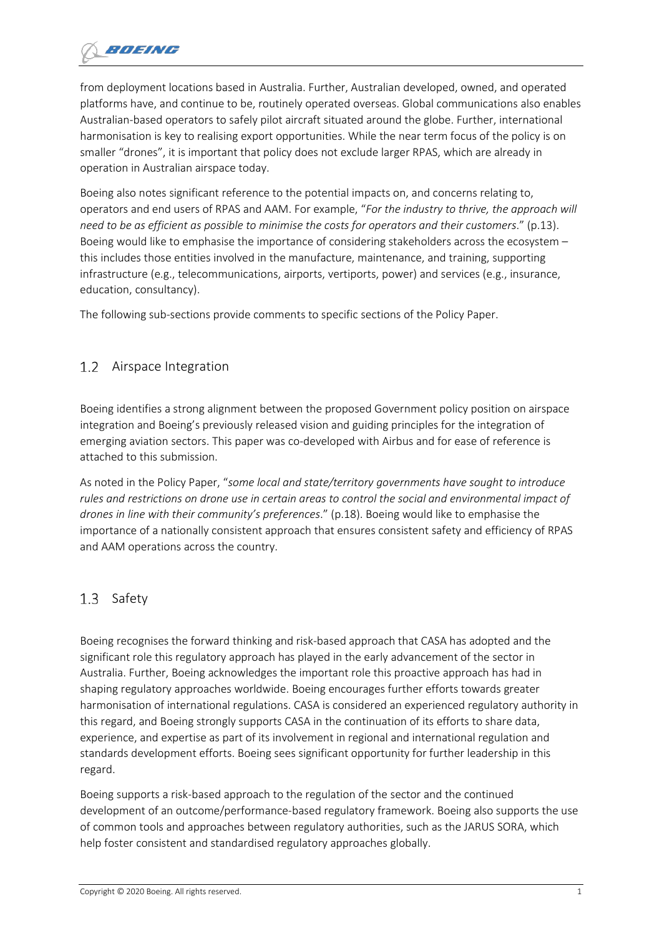from deployment locations based in Australia. Further, Australian developed, owned, and operated platforms have, and continue to be, routinely operated overseas. Global communications also enables Australian-based operators to safely pilot aircraft situated around the globe. Further, international harmonisation is key to realising export opportunities. While the near term focus of the policy is on smaller "drones", it is important that policy does not exclude larger RPAS, which are already in operation in Australian airspace today.

Boeing also notes significant reference to the potential impacts on, and concerns relating to, operators and end users of RPAS and AAM. For example, "*For the industry to thrive, the approach will need to be as efficient as possible to minimise the costs for operators and their customers*." (p.13). Boeing would like to emphasise the importance of considering stakeholders across the ecosystem – this includes those entities involved in the manufacture, maintenance, and training, supporting infrastructure (e.g., telecommunications, airports, vertiports, power) and services (e.g., insurance, education, consultancy).

The following sub-sections provide comments to specific sections of the Policy Paper.

#### $1.2$ Airspace Integration

Boeing identifies a strong alignment between the proposed Government policy position on airspace integration and Boeing's previously released vision and guiding principles for the integration of emerging aviation sectors. This paper was co-developed with Airbus and for ease of reference is attached to this submission.

As noted in the Policy Paper, "*some local and state/territory governments have sought to introduce rules and restrictions on drone use in certain areas to control the social and environmental impact of drones in line with their community's preferences*." (p.18). Boeing would like to emphasise the importance of a nationally consistent approach that ensures consistent safety and efficiency of RPAS and AAM operations across the country.

#### $1.3$ Safety

Boeing recognises the forward thinking and risk-based approach that CASA has adopted and the significant role this regulatory approach has played in the early advancement of the sector in Australia. Further, Boeing acknowledges the important role this proactive approach has had in shaping regulatory approaches worldwide. Boeing encourages further efforts towards greater harmonisation of international regulations. CASA is considered an experienced regulatory authority in this regard, and Boeing strongly supports CASA in the continuation of its efforts to share data, experience, and expertise as part of its involvement in regional and international regulation and standards development efforts. Boeing sees significant opportunity for further leadership in this regard.

Boeing supports a risk-based approach to the regulation of the sector and the continued development of an outcome/performance-based regulatory framework. Boeing also supports the use of common tools and approaches between regulatory authorities, such as the JARUS SORA, which help foster consistent and standardised regulatory approaches globally.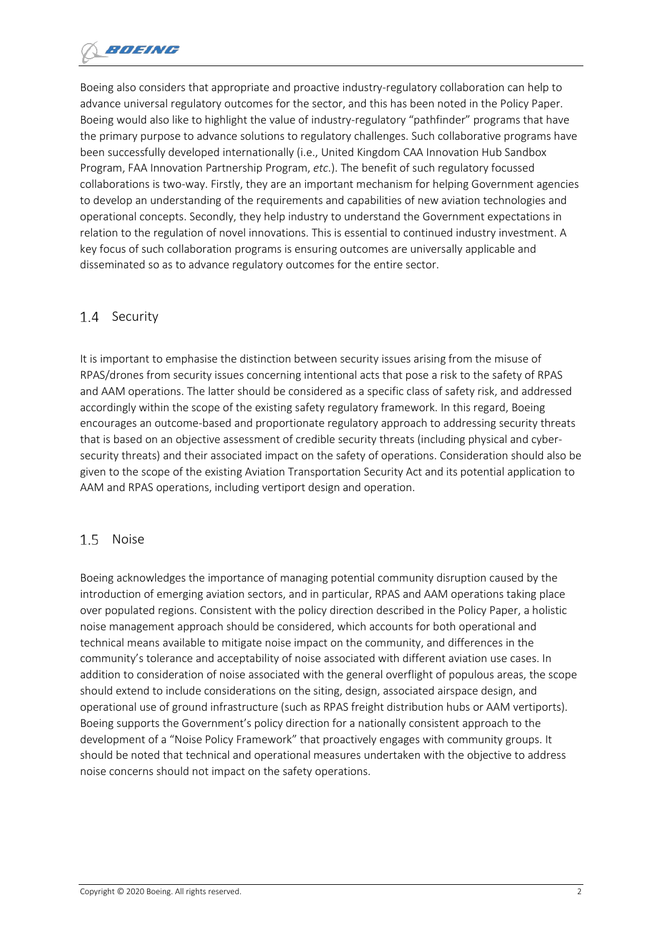Boeing also considers that appropriate and proactive industry-regulatory collaboration can help to advance universal regulatory outcomes for the sector, and this has been noted in the Policy Paper. Boeing would also like to highlight the value of industry-regulatory "pathfinder" programs that have the primary purpose to advance solutions to regulatory challenges. Such collaborative programs have been successfully developed internationally (i.e., United Kingdom CAA Innovation Hub Sandbox Program, FAA Innovation Partnership Program, *etc*.). The benefit of such regulatory focussed collaborations is two-way. Firstly, they are an important mechanism for helping Government agencies to develop an understanding of the requirements and capabilities of new aviation technologies and operational concepts. Secondly, they help industry to understand the Government expectations in relation to the regulation of novel innovations. This is essential to continued industry investment. A key focus of such collaboration programs is ensuring outcomes are universally applicable and disseminated so as to advance regulatory outcomes for the entire sector.

#### $1.4$ Security

It is important to emphasise the distinction between security issues arising from the misuse of RPAS/drones from security issues concerning intentional acts that pose a risk to the safety of RPAS and AAM operations. The latter should be considered as a specific class of safety risk, and addressed accordingly within the scope of the existing safety regulatory framework. In this regard, Boeing encourages an outcome-based and proportionate regulatory approach to addressing security threats that is based on an objective assessment of credible security threats (including physical and cybersecurity threats) and their associated impact on the safety of operations. Consideration should also be given to the scope of the existing Aviation Transportation Security Act and its potential application to AAM and RPAS operations, including vertiport design and operation.

#### $1.5$ Noise

Boeing acknowledges the importance of managing potential community disruption caused by the introduction of emerging aviation sectors, and in particular, RPAS and AAM operations taking place over populated regions. Consistent with the policy direction described in the Policy Paper, a holistic noise management approach should be considered, which accounts for both operational and technical means available to mitigate noise impact on the community, and differences in the community's tolerance and acceptability of noise associated with different aviation use cases. In addition to consideration of noise associated with the general overflight of populous areas, the scope should extend to include considerations on the siting, design, associated airspace design, and operational use of ground infrastructure (such as RPAS freight distribution hubs or AAM vertiports). Boeing supports the Government's policy direction for a nationally consistent approach to the development of a "Noise Policy Framework" that proactively engages with community groups. It should be noted that technical and operational measures undertaken with the objective to address noise concerns should not impact on the safety operations.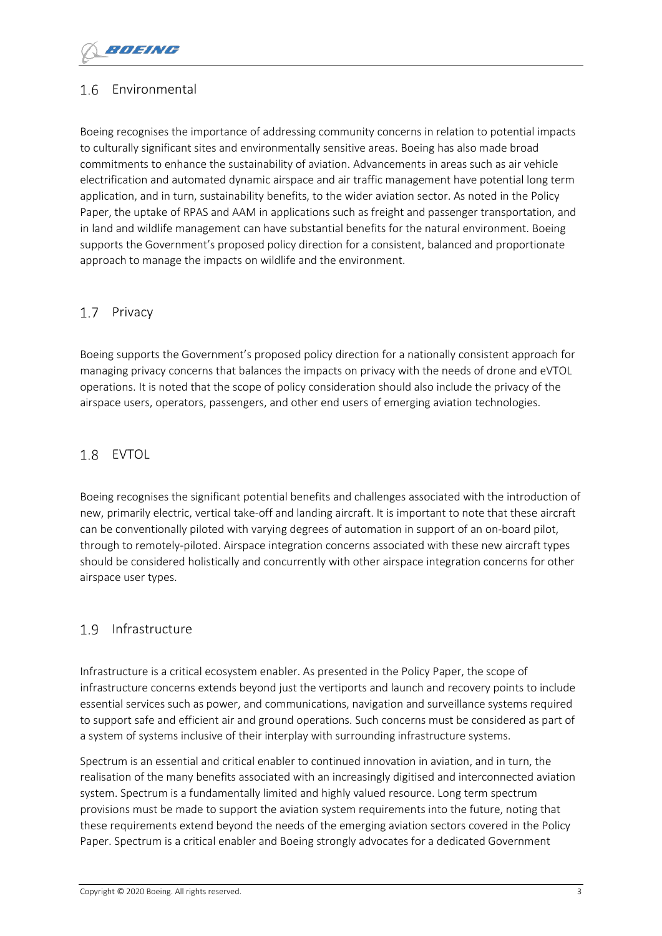### 1.6 Environmental

Boeing recognises the importance of addressing community concerns in relation to potential impacts to culturally significant sites and environmentally sensitive areas. Boeing has also made broad commitments to enhance the sustainability of aviation. Advancements in areas such as air vehicle electrification and automated dynamic airspace and air traffic management have potential long term application, and in turn, sustainability benefits, to the wider aviation sector. As noted in the Policy Paper, the uptake of RPAS and AAM in applications such as freight and passenger transportation, and in land and wildlife management can have substantial benefits for the natural environment. Boeing supports the Government's proposed policy direction for a consistent, balanced and proportionate approach to manage the impacts on wildlife and the environment.

#### 1.7 Privacy

Boeing supports the Government's proposed policy direction for a nationally consistent approach for managing privacy concerns that balances the impacts on privacy with the needs of drone and eVTOL operations. It is noted that the scope of policy consideration should also include the privacy of the airspace users, operators, passengers, and other end users of emerging aviation technologies.

### 1.8 EVTOL

Boeing recognises the significant potential benefits and challenges associated with the introduction of new, primarily electric, vertical take-off and landing aircraft. It is important to note that these aircraft can be conventionally piloted with varying degrees of automation in support of an on-board pilot, through to remotely-piloted. Airspace integration concerns associated with these new aircraft types should be considered holistically and concurrently with other airspace integration concerns for other airspace user types.

### 1.9 Infrastructure

Infrastructure is a critical ecosystem enabler. As presented in the Policy Paper, the scope of infrastructure concerns extends beyond just the vertiports and launch and recovery points to include essential services such as power, and communications, navigation and surveillance systems required to support safe and efficient air and ground operations. Such concerns must be considered as part of a system of systems inclusive of their interplay with surrounding infrastructure systems.

Spectrum is an essential and critical enabler to continued innovation in aviation, and in turn, the realisation of the many benefits associated with an increasingly digitised and interconnected aviation system. Spectrum is a fundamentally limited and highly valued resource. Long term spectrum provisions must be made to support the aviation system requirements into the future, noting that these requirements extend beyond the needs of the emerging aviation sectors covered in the Policy Paper. Spectrum is a critical enabler and Boeing strongly advocates for a dedicated Government